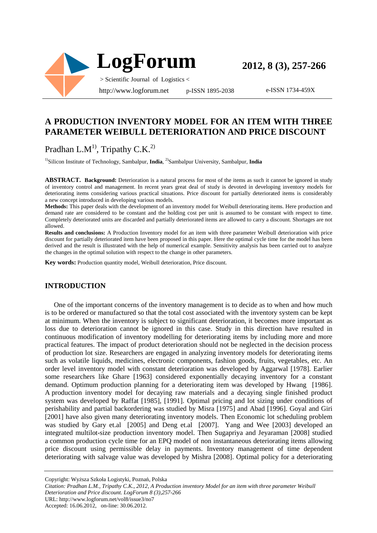

e-ISSN 1734-459X

## **A PRODUCTION INVENTORY MODEL FOR AN ITEM WITH THREE PARAMETER WEIBULL DETERIORATION AND PRICE DISCOUNT**

Pradhan L.M<sup>1</sup>, Tripathy C.K.<sup>2)</sup>

<sup>1)</sup>Silicon Institute of Technology, Sambalpur, India, <sup>2)</sup>Sambalpur University, Sambalpur, India

**ABSTRACT. Background:** Deterioration is a natural process for most of the items as such it cannot be ignored in study of inventory control and management. In recent years great deal of study is devoted in developing inventory models for deteriorating items considering various practical situations. Price discount for partially deteriorated items is considerably a new concept introduced in developing various models.

**Methods:** This paper deals with the development of an inventory model for Weibull deteriorating items. Here production and demand rate are considered to be constant and the holding cost per unit is assumed to be constant with respect to time. Completely deteriorated units are discarded and partially deteriorated items are allowed to carry a discount. Shortages are not allowed.

**Results and conclusions:** A Production Inventory model for an item with three parameter Weibull deterioration with price discount for partially deteriorated item have been proposed in this paper. Here the optimal cycle time for the model has been derived and the result is illustrated with the help of numerical example. Sensitivity analysis has been carried out to analyze the changes in the optimal solution with respect to the change in other parameters.

**Key words:** Production quantity model, Weibull deterioration, Price discount.

#### **INTRODUCTION**

One of the important concerns of the inventory management is to decide as to when and how much is to be ordered or manufactured so that the total cost associated with the inventory system can be kept at minimum. When the inventory is subject to significant deterioration, it becomes more important as loss due to deterioration cannot be ignored in this case. Study in this direction have resulted in continuous modification of inventory modelling for deteriorating items by including more and more practical features. The impact of product deterioration should not be neglected in the decision process of production lot size. Researchers are engaged in analyzing inventory models for deteriorating items such as volatile liquids, medicines, electronic components, fashion goods, fruits, vegetables, etc. An order level inventory model with constant deterioration was developed by Aggarwal [1978]. Earlier some researchers like Ghare [1963] considered exponentially decaying inventory for a constant demand. Optimum production planning for a deteriorating item was developed by Hwang [1986]. A production inventory model for decaying raw materials and a decaying single finished product system was developed by Raffat [1985], [1991]. Optimal pricing and lot sizing under conditions of perishability and partial backordering was studied by Misra [1975] and Abad [1996]. Goyal and Giri [2001] have also given many deteriorating inventory models. Then Economic lot scheduling problem was studied by Gary et.al [2005] and Deng et.al [2007]. Yang and Wee [2003] developed an integrated multilot-size production inventory model. Then Sugapriya and Jeyaraman [2008] studied a common production cycle time for an EPQ model of non instantaneous deteriorating items allowing price discount using permissible delay in payments. Inventory management of time dependent deteriorating with salvage value was developed by Mishra [2008]. Optimal policy for a deteriorating

Copyright: Wyższa Szkoła Logistyki, Poznań, Polska

*Citation: Pradhan L.M., Tripathy C.K., 2012, A Production inventory Model for an item with three parameter Weibull* 

*Deterioration and Price discount. LogForum 8 (3),257-266* 

URL: http://www.logforum.net/vol8/issue3/no7

Accepted: 16.06.2012, on-line: 30.06.2012.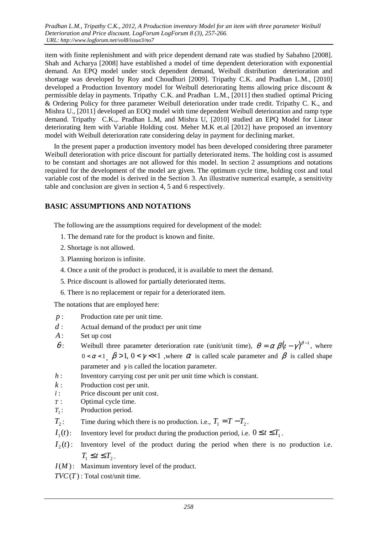item with finite replenishment and with price dependent demand rate was studied by Sabahno [2008]. Shah and Acharya [2008] have established a model of time dependent deterioration with exponential demand. An EPQ model under stock dependent demand, Weibull distribution deterioration and shortage was developed by Roy and Choudhuri [2009]. Tripathy C.K. and Pradhan L.M., [2010] developed a Production Inventory model for Weibull deteriorating Items allowing price discount & permissible delay in payments. Tripathy C.K. and Pradhan L.M., [2011] then studied optimal Pricing & Ordering Policy for three parameter Weibull deterioration under trade credit. Tripathy C. K., and Mishra U., [2011] developed an EOQ model with time dependent Weibull deterioration and ramp type demand. Tripathy C.K.,. Pradhan L.M, and Mishra U, [2010] studied an EPQ Model for Linear deteriorating Item with Variable Holding cost. Meher M.K et.al [2012] have proposed an inventory model with Weibull deterioration rate considering delay in payment for declining market.

In the present paper a production inventory model has been developed considering three parameter Weibull deterioration with price discount for partially deteriorated items. The holding cost is assumed to be constant and shortages are not allowed for this model. In section 2 assumptions and notations required for the development of the model are given. The optimum cycle time, holding cost and total variable cost of the model is derived in the Section 3. An illustrative numerical example, a sensitivity table and conclusion are given in section 4, 5 and 6 respectively.

## **BASIC ASSUMPTIONS AND NOTATIONS**

The following are the assumptions required for development of the model:

- 1. The demand rate for the product is known and finite.
- 2. Shortage is not allowed.
- 3. Planning horizon is infinite.
- 4. Once a unit of the product is produced, it is available to meet the demand.
- 5. Price discount is allowed for partially deteriorated items.
- 6. There is no replacement or repair for a deteriorated item.

The notations that are employed here:

- *p* : Production rate per unit time.
- *d* : Actual demand of the product per unit time
- *A*: Set up cost
- $\theta$ : Weibull three parameter deterioration rate (unit/unit time),  $\theta = \alpha \beta (t \gamma)^{\beta 1}$ , where  $0 < \alpha < 1$ ,  $\beta > 1$ ,  $0 < \gamma < 1$ , where  $\alpha$  is called scale parameter and  $\beta$  is called shape parameter and  $\nu$  is called the location parameter.
- *h* : Inventory carrying cost per unit per unit time which is constant.
- *k* : Production cost per unit.
- *l* : Price discount per unit cost.
- *T* : Optimal cycle time.
- $T_1$ : Production period.
- $T_{2}$ : : Time during which there is no production. i.e.,  $T_1 = T - T_2$ .
- $I_1(t)$ : Inventory level for product during the production period, i.e.  $0 \le t \le T_1$ .
- $I_2(t)$ : Inventory level of the product during the period when there is no production i.e.  $T_1 \leq t \leq T_2$ .
- *I*(*M*): Maximum inventory level of the product.
- $TVC(T)$ : Total cost/unit time.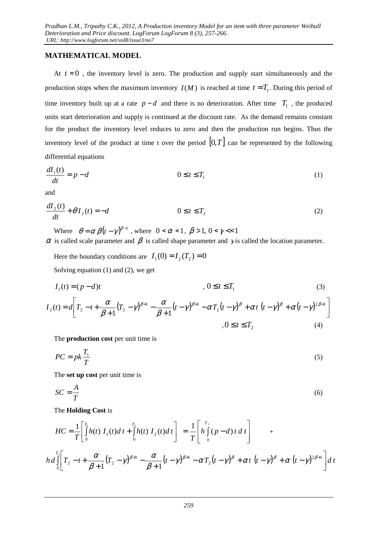### **MATHEMATICAL MODEL**

At  $t = 0$ , the inventory level is zero. The production and supply start simultaneously and the production stops when the maximum inventory  $I(M)$  is reached at time  $t = T_1$ . During this period of time inventory built up at a rate  $p - d$  and there is no deterioration. After time  $T_1$ , the produced units start deterioration and supply is continued at the discount rate. As the demand remains constant for the product the inventory level reduces to zero and then the production run begins. Thus the inventory level of the product at time t over the period  $[0, T]$  can be represented by the following differential equations

$$
\frac{dI_1(t)}{dt} = p - d \qquad 0 \le t \le T_1 \tag{1}
$$

and

$$
\frac{dI_2(t)}{dt} + \theta I_2(t) = -d \qquad \qquad 0 \le t \le T_2 \tag{2}
$$

Where  $\theta = \alpha \beta (t - \gamma)^{\beta - 1}$ , where  $0 < \alpha < 1$ ,  $\beta > 1$ ,  $0 < \gamma < 1$  $\alpha$  is called scale parameter and  $\beta$  is called shape parameter and  $\gamma$  is called the location parameter.

Here the boundary conditions are  $I_1(0) = I_2(T_2) = 0$ Solving equation (1) and (2), we get

$$
I_1(t) = (p-d)t \qquad , \qquad 0 \le t \le T_1 \tag{3}
$$

$$
I_2(t) = d \left[ T_2 - t + \frac{\alpha}{\beta + 1} (T_2 - \gamma)^{\beta + 1} - \frac{\alpha}{\beta + 1} (t - \gamma)^{\beta + 1} - \alpha T_2 (t - \gamma)^{\beta} + \alpha t (t - \gamma)^{\beta} + \alpha (t - \gamma)^{2\beta + 1} \right]
$$
  
,  $0 \le t \le T_2$  (4)

The **production cost** per unit time is

$$
PC = pk \frac{T_1}{T}
$$
 (5)

The **set up cost** per unit time is

$$
SC = \frac{A}{T}
$$
 (6)

The **Holding Cost** is

$$
HC = \frac{1}{T} \left[ \int_{0}^{T_1} h(t) I_1(t) dt + \int_{0}^{T_2} h(t) I_2(t) dt \right] = \frac{1}{T} \left[ h \int_{0}^{T_1} (p - d) t dt \right] + h d \int_{0}^{T_2} \left[ T_2 - t + \frac{\alpha}{\beta + 1} (T_2 - \gamma)^{\beta + 1} - \frac{\alpha}{\beta + 1} (t - \gamma)^{\beta + 1} - \alpha T_2 (t - \gamma)^{\beta} + \alpha t (t - \gamma)^{\beta} + \alpha (t - \gamma)^{2\beta + 1} \right] dt
$$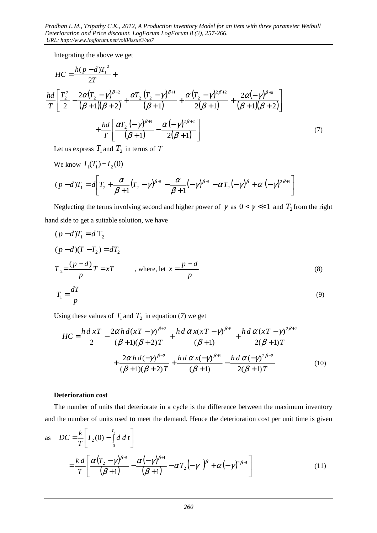Integrating the above we get

$$
HC = \frac{h(p-d)T_1^2}{2T} +
$$
  
\n
$$
\frac{hd}{T} \left[ \frac{T_2^2}{2} - \frac{2\alpha (T_2 - \gamma)^{\beta+2}}{(\beta+1)(\beta+2)} + \frac{\alpha T_2 (T_2 - \gamma)^{\beta+1}}{(\beta+1)} + \frac{\alpha (T_2 - \gamma)^{2\beta+2}}{2(\beta+1)} + \frac{2\alpha (-\gamma)^{\beta+2}}{(\beta+1)(\beta+2)} \right]
$$
  
\n
$$
+ \frac{hd}{T} \left[ \frac{\alpha T_2 (-\gamma)^{\beta+1}}{(\beta+1)} - \frac{\alpha (-\gamma)^{2\beta+2}}{2(\beta+1)} \right]
$$
(7)

Let us express  $T_1$  and  $T_2$  in terms of  $T_1$ 

We know 
$$
I_1(T_1) = I_2(0)
$$
  
\n
$$
(p-d)T_1 = d \left[ T_2 + \frac{\alpha}{\beta+1} (T_2 - \gamma)^{\beta+1} - \frac{\alpha}{\beta+1} (-\gamma)^{\beta+1} - \alpha T_2 (-\gamma)^{\beta} + \alpha (-\gamma)^{2\beta+1} \right]
$$

Neglecting the terms involving second and higher power of  $\gamma$  as  $0 < \gamma \ll 1$  and  $T_2$  from the right hand side to get a suitable solution, we have

$$
(p-d)T_1 = dT_2
$$
  
\n
$$
(p-d)(T-T_2) = dT_2
$$
  
\n
$$
T_2 = \frac{(p-d)}{p}T = xT
$$
, where, let  $x = \frac{p-d}{p}$  (8)  
\n
$$
T_1 = \frac{dT}{p}
$$
 (9)

Using these values of  $T_1$  and  $T_2$  in equation (7) we get

$$
HC = \frac{h \, d \, xT}{2} - \frac{2\alpha \, h \, d(xT - \gamma)^{\beta+2}}{(\beta+1)(\beta+2)T} + \frac{h \, d \, \alpha \, x(xT - \gamma)^{\beta+1}}{(\beta+1)} + \frac{h \, d \, \alpha \, (xT - \gamma)^{2\beta+2}}{2(\beta+1)T} + \frac{2\alpha \, h \, d(-\gamma)^{\beta+2}}{(\beta+1)(\beta+2)T} + \frac{h \, d \, \alpha \, x(-\gamma)^{\beta+1}}{(\beta+1)} - \frac{h \, d \, \alpha \, (-\gamma)^{2\beta+2}}{2(\beta+1)T}
$$
(10)

### **Deterioration cost**

The number of units that deteriorate in a cycle is the difference between the maximum inventory and the number of units used to meet the demand. Hence the deterioration cost per unit time is given

as 
$$
DC = \frac{k}{T} \left[ I_2(0) - \int_0^{T_2} d \, d \, t \right]
$$
  
=  $\frac{k d}{T} \left[ \frac{\alpha (T_2 - \gamma)^{\beta+1}}{(\beta+1)} - \frac{\alpha (-\gamma)^{\beta+1}}{(\beta+1)} - \alpha T_2 \left( -\gamma \right)^{\beta} + \alpha (-\gamma)^{2\beta+1} \right]$  (11)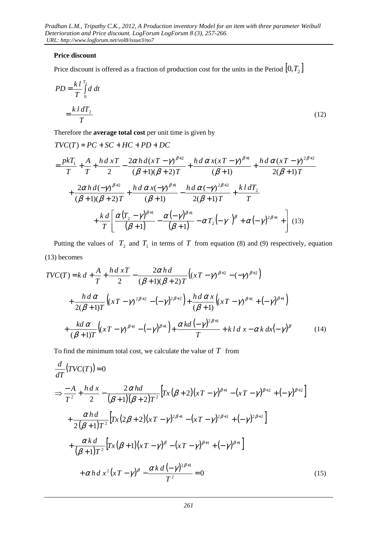### **Price discount**

Price discount is offered as a fraction of production cost for the units in the Period  $[0, T<sub>2</sub>]$ 

$$
PD = \frac{k l}{T} \int_{0}^{T_2} d \, dt
$$
\n
$$
= \frac{k l d T_2}{T}
$$
\n(12)

Therefore the **average total cost** per unit time is given by

$$
TVC(T) = PC + SC + HC + PD + DC
$$
\n
$$
= \frac{pkT_1}{T} + \frac{A}{T} + \frac{hd \, xT}{2} - \frac{2\alpha hd(xT - \gamma)^{\beta+2}}{(\beta+1)(\beta+2)T} + \frac{hd \, \alpha x(xT - \gamma)^{\beta+1}}{(\beta+1)} + \frac{hd \, \alpha (xT - \gamma)^{2\beta+2}}{2(\beta+1)T}
$$
\n
$$
+ \frac{2\alpha hd(-\gamma)^{\beta+2}}{(\beta+1)(\beta+2)T} + \frac{hd \, \alpha x(-\gamma)^{\beta+1}}{(\beta+1)} - \frac{hd \, \alpha (-\gamma)^{2\beta+2}}{2(\beta+1)T} + \frac{kl \, dT_2}{T}
$$
\n
$$
+ \frac{kd}{T} \bigg[ \frac{\alpha (T_2 - \gamma)^{\beta+1}}{(\beta+1)} - \frac{\alpha (-\gamma)^{\beta+1}}{(\beta+1)} - \alpha T_2 (-\gamma)^{\beta} + \alpha (-\gamma)^{2\beta+1} + \bigg] \tag{13}
$$

Putting the values of  $T_2$  and  $T_1$  in terms of  $T$  from equation (8) and (9) respectively, equation (13) becomes

$$
TVC(T) = k d + \frac{A}{T} + \frac{h d x T}{2} - \frac{2\alpha h d}{(\beta + 1)(\beta + 2) T} ((xT - \gamma)^{\beta + 2} - (-\gamma)^{\beta + 2})
$$
  
+ 
$$
\frac{h d \alpha}{2(\beta + 1) T} ((xT - \gamma)^{2\beta + 2} - (-\gamma)^{2\beta + 2}) + \frac{h d \alpha x}{(\beta + 1)} ((xT - \gamma)^{\beta + 1} + (-\gamma)^{\beta + 1})
$$
  
+ 
$$
\frac{k d \alpha}{(\beta + 1) T} ((xT - \gamma)^{\beta + 1} - (-\gamma)^{\beta + 1}) + \frac{\alpha k d (-\gamma)^{2\beta + 1}}{T} + k d x - \alpha k d x (-\gamma)^{\beta}
$$
(14)

To find the minimum total cost, we calculate the value of *T* from

$$
\frac{d}{dT}(TVC(T)) = 0
$$
\n
$$
\Rightarrow \frac{-A}{T^2} + \frac{h dx}{2} - \frac{2 \alpha h d}{(\beta + 1)(\beta + 2)T^2} \Big[ Tx(\beta + 2)(xT - \gamma)^{\beta + 1} - (xT - \gamma)^{\beta + 2} + (-\gamma)^{\beta + 2} \Big]
$$
\n
$$
+ \frac{\alpha h d}{2(\beta + 1)T^2} \Big[ Tx(2\beta + 2)(xT - \gamma)^{2\beta + 1} - (xT - \gamma)^{2\beta + 2} + (-\gamma)^{2\beta + 2} \Big]
$$
\n
$$
+ \frac{\alpha k d}{(\beta + 1)T^2} \Big[ Tx(\beta + 1)(xT - \gamma)^{\beta} - (xT - \gamma)^{\beta + 1} + (-\gamma)^{\beta + 1} \Big]
$$
\n
$$
+ \alpha h dx^2 (xT - \gamma)^{\beta} - \frac{\alpha k d (-\gamma)^{2\beta + 1}}{T^2} = 0
$$
\n(15)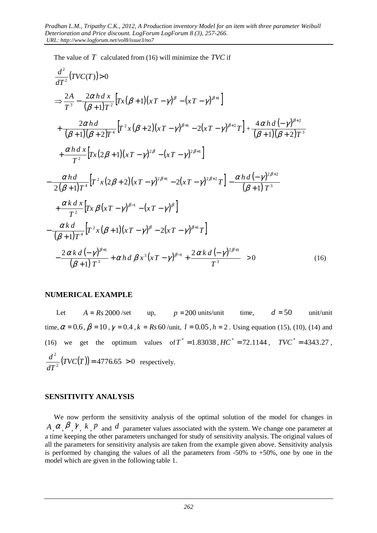The value of *T* calculated from (16) will minimize the *TVC* if

$$
\frac{d^{2}}{dT^{2}}(TVC(T))>0
$$
\n
$$
\Rightarrow \frac{2A}{T^{3}} - \frac{2\alpha h dx}{(\beta+1)T^{2}} \left[ Tx(\beta+1)(xT-\gamma)^{\beta} - (xT-\gamma)^{\beta+1} \right]
$$
\n
$$
+ \frac{2\alpha h d}{(\beta+1)(\beta+2)T^{4}} \left[ T^{2}x(\beta+2)(xT-\gamma)^{\beta+1} - 2(xT-\gamma)^{\beta+2}T \right] + \frac{4\alpha h d (-\gamma)^{\beta+2}}{(\beta+1)(\beta+2)T^{3}}
$$
\n
$$
+ \frac{\alpha h d x}{T^{2}} \left[ Tx(2\beta+1)(xT-\gamma)^{2\beta} - (xT-\gamma)^{2\beta+1} \right]
$$
\n
$$
- \frac{\alpha h d}{2(\beta+1)T^{4}} \left[ T^{2}x(2\beta+2)(xT-\gamma)^{2\beta+1} - 2(xT-\gamma)^{2\beta+2}T \right] - \frac{\alpha h d (-\gamma)^{2\beta+2}}{(\beta+1)T^{3}}
$$
\n
$$
+ \frac{\alpha k d x}{T^{2}} \left[ Tx \beta(xT-\gamma)^{\beta-1} - (xT-\gamma)^{\beta} \right]
$$
\n
$$
- \frac{\alpha k d}{(\beta+1)T^{4}} \left[ T^{2}x(\beta+1)(xT-\gamma)^{\beta} - 2(xT-\gamma)^{\beta+1}T \right]
$$
\n
$$
- \frac{2\alpha k d (-\gamma)^{\beta+1}}{(\beta+1)T^{3}} + \alpha h d \beta x^{3} (xT-\gamma)^{\beta-1} + \frac{2\alpha k d (-\gamma)^{2\beta+1}}{T^{3}} > 0
$$
\n(16)

### **NUMERICAL EXAMPLE**

Let  $A = Rs\,2000/\text{set}$  up,  $p = 200$  units/unit time,  $d = 50$  unit/unit time,  $\alpha = 0.6$ ,  $\beta = 10$ ,  $\gamma = 0.4$ ,  $k = Rs 60$ /unit,  $l = 0.05$ ,  $h = 2$ . Using equation (15), (10), (14) and (16) we get the optimum values of  $T^* = 1.83038$ ,  $HC^* = 72.1144$ ,  $TVC^* = 4343.27$ ,  $\frac{2}{2}( TVC(T)) = 4776.65 > 0$  $TVC(T)$  = 4776.65 > *dT*  $\frac{d^2}{d^2}$   $(TVC(T)) = 4776.65 > 0$  respectively.

### **SENSITIVITY ANALYSIS**

We now perform the sensitivity analysis of the optimal solution of the model for changes in  $A_1, \alpha_2, \beta_1, \gamma_2, k_1, \beta_3$  and *d* parameter values associated with the system. We change one parameter at a time keeping the other parameters unchanged for study of sensitivity analysis. The original values of all the parameters for sensitivity analysis are taken from the example given above. Sensitivity analysis is performed by changing the values of all the parameters from  $-50\%$  to  $+50\%$ , one by one in the model which are given in the following table 1.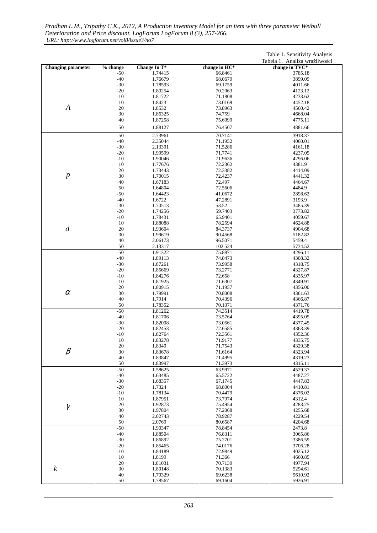|                           |                |                    |                    | Table 1. Sensitivity Analysis |
|---------------------------|----------------|--------------------|--------------------|-------------------------------|
|                           |                |                    |                    | Tabela 1. Analiza wrażliwości |
| <b>Changing parameter</b> | % change       | Change In T*       | change in HC*      | change in TVC*                |
|                           | $-50$          | 1.74415            | 66.8461            | 3785.18                       |
|                           | $-40$          | 1.76679            | 68.0679            | 3899.09                       |
|                           | $-30$          | 1.78593            | 69.1759            | 4011.66                       |
|                           | $-20$<br>$-10$ | 1.80254<br>1.81722 | 70.2063<br>71.1808 | 4123.12<br>4233.62            |
|                           | 10             |                    | 73.0169            | 4452.18                       |
| $\boldsymbol{A}$          | 20             | 1.8423<br>1.8532   | 73.8963            | 4560.42                       |
|                           | 30             | 1.86325            | 74.759             | 4668.04                       |
|                           | 40             | 1.87258            | 75.6099            | 4775.11                       |
|                           |                |                    |                    |                               |
|                           | 50             | 1.88127            | 76.4507            | 4881.66                       |
|                           | $-50$<br>$-40$ | 2.73961            | 70.7141            | 3918.37                       |
|                           | $-30$          | 2.35044<br>2.13391 | 71.1952<br>71.5286 | 4060.01<br>4161.18            |
|                           | $-20$          | 1.99599            | 71.7741            | 4237.05                       |
|                           | $-10$          | 1.90046            | 71.9636            | 4296.06                       |
|                           | 10             | 1.77676            | 72.2362            | 4381.9                        |
|                           | 20             | 1.73443            | 72.3382            | 4414.09                       |
| $\boldsymbol{p}$          | 30             | 1.70015            | 72.4237            | 4441.32                       |
|                           | 40             | 1.67183            | 72.497             | 4464.67                       |
|                           | 50             | 1.64804            | 72.5606            | 4484.9                        |
|                           | $-50$          | 1.64423            | 41.0672            | 2898.62                       |
|                           | $-40$          | 1.6722             | 47.2891            | 3193.9                        |
|                           | $-30$          | 1.70513            | 53.52              | 3485.39                       |
|                           | $-20$          | 1.74256            | 59.7403            | 3773.82                       |
|                           | $-10$          | 1.78431            | 65.9401            | 4059.67                       |
|                           | 10             | 1.88088            | 78.2594            | 4624.88                       |
| $\boldsymbol{d}$          | 20             | 1.93604            | 84.3737            | 4904.68                       |
|                           | 30             | 1.99619            | 90.4568            | 5182.82                       |
|                           | 40             | 2.06173            | 96.5071            | 5459.4                        |
|                           | 50             | 2.13317            | 102.524            | 5734.52                       |
|                           | $-50$          | 1.91322            | 75.8871            | 4296.11                       |
|                           | $-40$          | 1.89113            | 74.8473            | 4308.32                       |
|                           | $-30$          | 1.87261            | 73.9958            | 4318.75                       |
|                           | $-20$          | 1.85669            | 73.2771            | 4327.87                       |
|                           | $-10$          | 1.84276            | 72.658             | 4335.97                       |
|                           | 10             | 1.81925            | 71.6307            | 4349.91                       |
|                           | 20             | 1.80915            | 71.1957            | 4356.00                       |
| $\alpha$                  | 30             | 1.79991            | 70.8008            | 4361.63                       |
|                           | 40             | 1.7914             | 70.4396            | 4366.87                       |
|                           | 50             | 1.78352            | 70.1071            | 4371.76                       |
|                           | $-50$          | 1.81262            | 74.3514            | 4419.78                       |
|                           | $-40$          | 1.81706            | 73.5764            | 4395.05                       |
|                           | $-30$          | 1.82098            | 73.0561            | 4377.45                       |
|                           | $-20$          | 1.82453<br>1.82764 | 72.6585            | 4363.39<br>4352.36            |
|                           | $-10$<br>10    | 1.83278            | 72.3561            | 4335.75                       |
|                           | 20             | 1.8349             | 71.9177<br>71.7543 | 4329.38                       |
| $\beta$                   | 30             | 1.83678            | 71.6164            | 4323.94                       |
|                           | 40             | 1.83847            | 71.4995            | 4319.23                       |
|                           | 50             | 1.83997            | 71.3973            | 4315.11                       |
|                           | $-50$          | 1.58625            | 63.9971            | 4529.37                       |
|                           | $-40$          | 1.63485            | 65.5722            | 4487.27                       |
|                           | $-30$          | 1.68357            | 67.1745            | 4447.83                       |
|                           | $-20$          | 1.7324             | 68.8004            | 4410.81                       |
|                           | $-10$          | 1.78134            | 70.4479            | 4376.02                       |
|                           | 10             | 1.87951            | 73.7974            | 4312.4                        |
| $\gamma$                  | 20             | 1.92873            | 75.4954            | 4283.25                       |
|                           | 30             | 1.97804            | 77.2068            | 4255.68                       |
|                           | 40             | 2.02743            | 78.9287            | 4229.54                       |
|                           | 50             | 2.0769             | 80.6587            | 4204.68                       |
|                           | $-50$          | 1.90347            | 78.8454            | 2473.8                        |
|                           | $-40$          | 1.88504            | 76.8311            | 3065.86                       |
|                           | $-30$          | 1.86892            | 75.2701            | 3386.59                       |
|                           | $-20$          | 1.85465            | 74.0176            | 3706.28                       |
|                           | $-10$          | 1.84189            | 72.9849            | 4025.12                       |
|                           | 10             | 1.8199             | 71.366             | 4660.85                       |
|                           | 20             | 1.81031            | 70.7139            | 4977.94                       |
| $\boldsymbol{k}$          | 30             | 1.80148            | 70.1383            | 5294.61                       |
|                           | 40             | 1.79329            | 69.6238            | 5610.92                       |
|                           | 50             | 1.78567            | 69.1604            | 5926.91                       |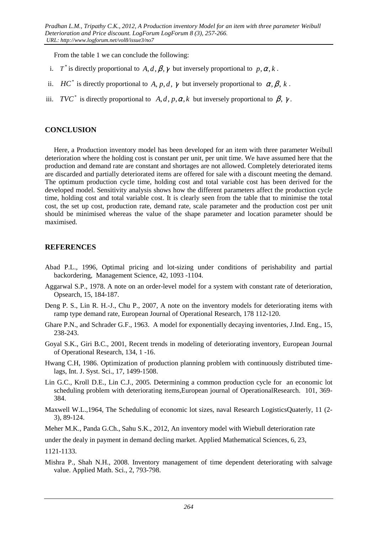From the table 1 we can conclude the following:

- i. *T*<sup>\*</sup> is directly proportional to *A*, *d*,  $\beta$ ,  $\gamma$  but inversely proportional to  $p, \alpha, k$ .
- ii. *HC*<sup>\*</sup> is directly proportional to *A*, *p*, *d*,  $\gamma$  but inversely proportional to  $\alpha$ ,  $\beta$ ,  $k$ .
- iii. *TVC*<sup>\*</sup> is directly proportional to *A*, *d*, *p*,  $\alpha$ , *k* but inversely proportional to  $\beta$ ,  $\gamma$ .

### **CONCLUSION**

Here, a Production inventory model has been developed for an item with three parameter Weibull deterioration where the holding cost is constant per unit, per unit time. We have assumed here that the production and demand rate are constant and shortages are not allowed. Completely deteriorated items are discarded and partially deteriorated items are offered for sale with a discount meeting the demand. The optimum production cycle time, holding cost and total variable cost has been derived for the developed model. Sensitivity analysis shows how the different parameters affect the production cycle time, holding cost and total variable cost. It is clearly seen from the table that to minimise the total cost, the set up cost, production rate, demand rate, scale parameter and the production cost per unit should be minimised whereas the value of the shape parameter and location parameter should be maximised.

## **REFERENCES**

- Abad P.L., 1996, Optimal pricing and lot-sizing under conditions of perishability and partial backordering, Management Science, 42, 1093 -1104.
- Aggarwal S.P., 1978. A note on an order-level model for a system with constant rate of deterioration, Opsearch, 15, 184-187.
- Deng P. S., Lin R. H.-J., Chu P., 2007, A note on the inventory models for deteriorating items with ramp type demand rate, European Journal of Operational Research, 178 112-120.
- Ghare P.N., and Schrader G.F., 1963. A model for exponentially decaying inventories, J.Ind. Eng., 15, 238-243.
- Goyal S.K., Giri B.C., 2001, Recent trends in modeling of deteriorating inventory, European Journal of Operational Research, 134, 1 -16.
- Hwang C.H, 1986. Optimization of production planning problem with continuously distributed timelags, Int. J. Syst. Sci., 17, 1499-1508.
- Lin G.C., Kroll D.E., Lin C.J., 2005. Determining a common production cycle for an economic lot scheduling problem with deteriorating items,European journal of OperationalResearch. 101, 369- 384.
- Maxwell W.L.,1964, The Scheduling of economic lot sizes, naval Research LogisticsQuaterly, 11 (2- 3), 89-124.

Meher M.K., Panda G.Ch., Sahu S.K., 2012, An inventory model with Wiebull deterioration rate

under the dealy in payment in demand decling market. Applied Mathematical Sciences, 6, 23,

1121-1133.

Mishra P., Shah N.H., 2008. Inventory management of time dependent deteriorating with salvage value. Applied Math. Sci., 2, 793-798.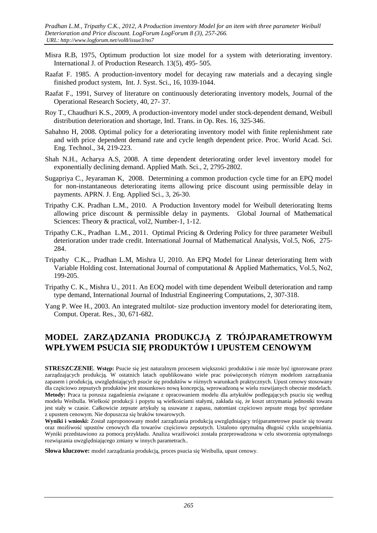- Misra R.B, 1975, Optimum production lot size model for a system with deteriorating inventory. International J. of Production Research. 13(5), 495- 505.
- Raafat F. 1985. A production-inventory model for decaying raw materials and a decaying single finished product system, Int. J. Syst. Sci., 16, 1039-1044.
- Raafat F., 1991, Survey of literature on continuously deteriorating inventory models, Journal of the Operational Research Society, 40, 27- 37.
- Roy T., Chaudhuri K.S., 2009, A production-inventory model under stock-dependent demand, Weibull distribution deterioration and shortage, Intl. Trans. in Op. Res. 16, 325-346.
- Sabahno H, 2008. Optimal policy for a deteriorating inventory model with finite replenishment rate and with price dependent demand rate and cycle length dependent price. Proc. World Acad. Sci. Eng. Technol., 34, 219-223.
- Shah N.H., Acharya A.S, 2008. A time dependent deteriorating order level inventory model for exponentially declining demand. Applied Math. Sci., 2, 2795-2802.
- Sugapriya C., Jeyaraman K, 2008. Determining a common production cycle time for an EPQ model for non-instantaneous deteriorating items allowing price discount using permissible delay in payments. APRN. J. Eng. Applied Sci., 3, 26-30.
- Tripathy C.K. Pradhan L.M., 2010. A Production Inventory model for Weibull deteriorating Items allowing price discount & permissible delay in payments. Global Journal of Mathematical Sciences: Theory & practical, vol2, Number-1, 1-12.
- Tripathy C.K., Pradhan L.M., 2011. Optimal Pricing & Ordering Policy for three parameter Weibull deterioration under trade credit. International Journal of Mathematical Analysis, Vol.5, No6, 275- 284.
- Tripathy C.K.,. Pradhan L.M, Mishra U, 2010. An EPQ Model for Linear deteriorating Item with Variable Holding cost. International Journal of computational & Applied Mathematics, Vol.5, No2, 199-205.
- Tripathy C. K., Mishra U., 2011. An EOQ model with time dependent Weibull deterioration and ramp type demand, International Journal of Industrial Engineering Computations, 2, 307-318.
- Yang P. Wee H., 2003. An integrated multilot- size production inventory model for deteriorating item, Comput. Operat. Res., 30, 671-682.

# **MODEL ZARZĄDZANIA PRODUKCJĄ Z TRÓJPARAMETROWYM WPŁYWEM PSUCIA SIĘ PRODUKTÓW I UPUSTEM CENOWYM**

**STRESZCZENIE**. **Wstęp:** Psucie się jest naturalnym procesem większości produktów i nie może być ignorowane przez zarządzających produkcją. W ostatnich latach opublikowano wiele prac poświęconych różnym modelom zarządzania zapasem i produkcją, uwzględniających psucie się produktów w różnych warunkach praktycznych. Upust cenowy stosowany dla częściowo zepsutych produktów jest stosunkowo nową koncepcją, wprowadzoną w wielu rozwijanych obecnie modelach. **Metody:** Praca ta porusza zagadnienia związane z opracowaniem modelu dla artykułów podlegających psuciu się według modelu Weibulla. Wielkość produkcji i popytu są wielkościami stałymi, zakłada się, że koszt utrzymania jednostki towaru jest stały w czasie. Całkowicie zepsute artykuły są usuwane z zapasu, natomiast częściowo zepsute mogą być sprzedane z upustem cenowym. Nie dopuszcza się braków towarowych.

**Wyniki i wnioski:** Został zaproponowany model zarządzania produkcją uwzględniający trójparametrowe psucie się towaru oraz możliwość upustów cenowych dla towarów częściowo zepsutych. Ustalono optymalną długość cyklu uzupełniania. Wyniki przedstawiono za pomocą przykładu. Analiza wrażliwości została przeprowadzona w celu stworzenia optymalnego rozwiązania uwzględniającego zmiany w innych parametrach..

**Słowa kluczowe:** model zarządzania produkcją, proces psucia się Weibulla, upust cenowy.